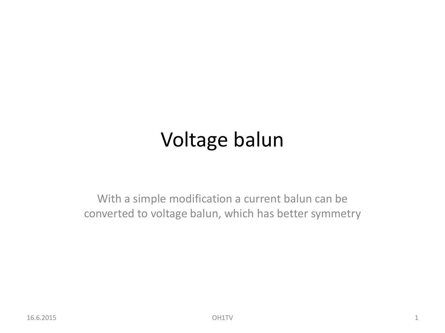# Voltage balun

With a simple modification a current balun can be converted to voltage balun, which has better symmetry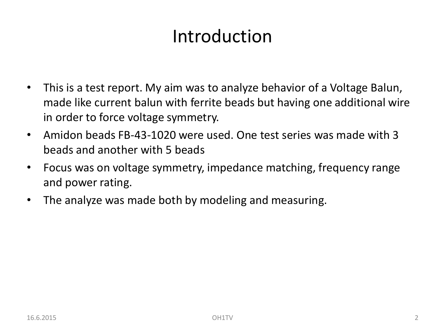# Introduction

- This is a test report. My aim was to analyze behavior of a Voltage Balun, made like current balun with ferrite beads but having one additional wire in order to force voltage symmetry.
- Amidon beads FB-43-1020 were used. One test series was made with 3 beads and another with 5 beads
- Focus was on voltage symmetry, impedance matching, frequency range and power rating.
- The analyze was made both by modeling and measuring.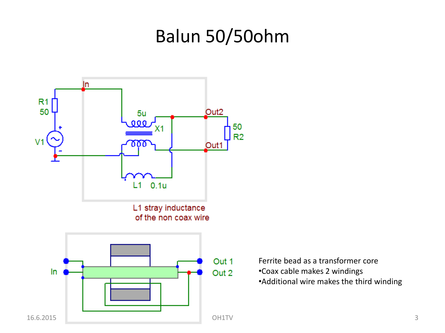# Balun 50/50ohm



Ferrite bead as a transformer core •Coax cable makes 2 windings •Additional wire makes the third winding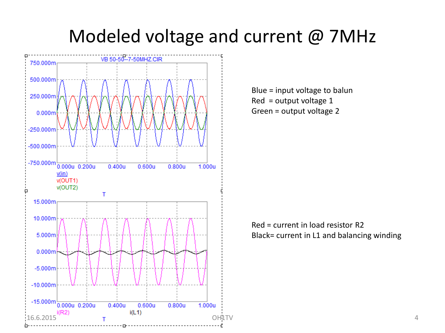## Modeled voltage and current @ 7MHz



Blue = input voltage to balun Red = output voltage 1 Green = output voltage 2

#### Red = current in load resistor R2 Black= current in L1 and balancing winding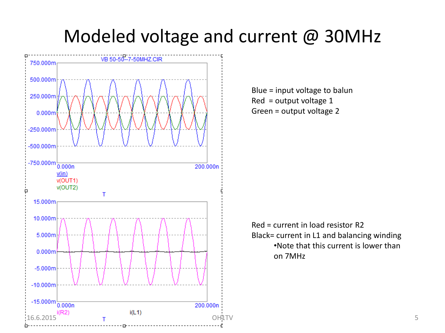## Modeled voltage and current @ 30MHz



Blue = input voltage to balun Red = output voltage 1 Green = output voltage 2

Red = current in load resistor R2 Black= current in L1 and balancing winding •Note that this current is lower than on 7MHz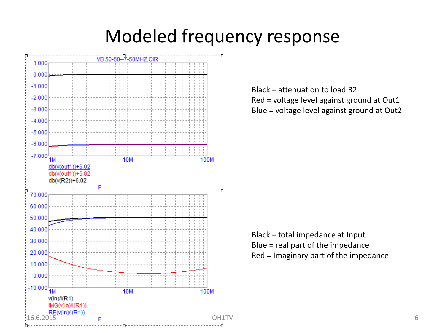# Modeled frequency response



Black = attenuation to load R2 Red = voltage level against ground at Out1 Blue = voltage level against ground at Out2

Black = total impedance at Input Blue = real part of the impedance Red = Imaginary part of the impedance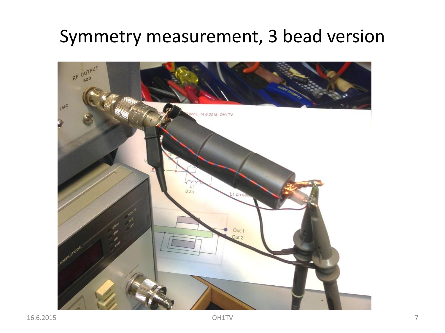# Symmetry measurement, 3 bead version

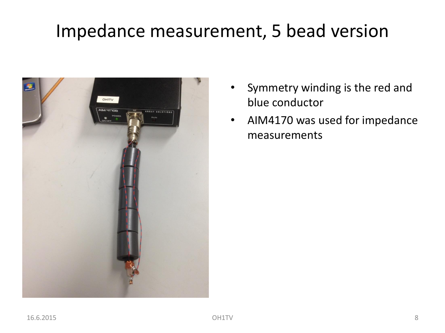# Impedance measurement, 5 bead version



- Symmetry winding is the red and blue conductor
- AIM4170 was used for impedance measurements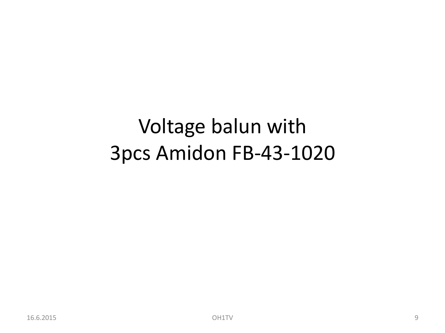# Voltage balun with 3pcs Amidon FB-43-1020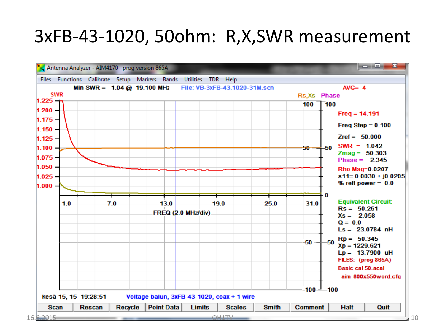#### 3xFB-43-1020, 50ohm: R,X,SWR measurement

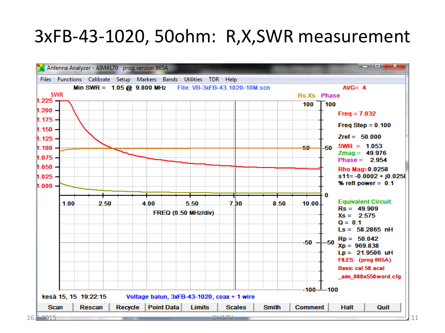#### 3xFB-43-1020, 50ohm: R,X,SWR measurement

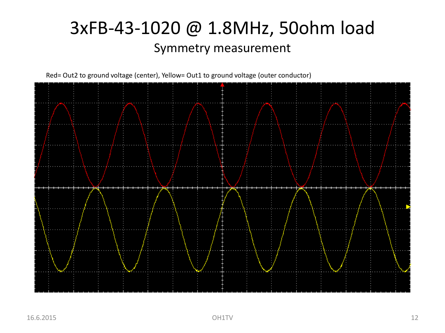#### 3xFB-43-1020 @ 1.8MHz, 50ohm load Symmetry measurement

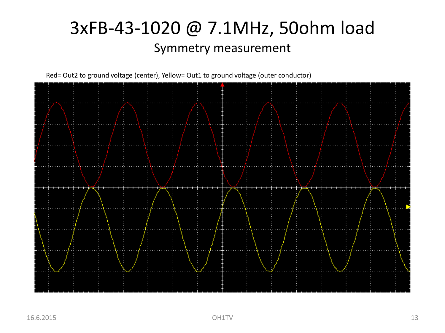#### 3xFB-43-1020 @ 7.1MHz, 50ohm load Symmetry measurement

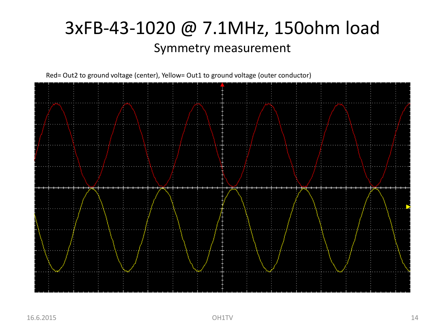### 3xFB-43-1020 @ 7.1MHz, 150ohm load Symmetry measurement

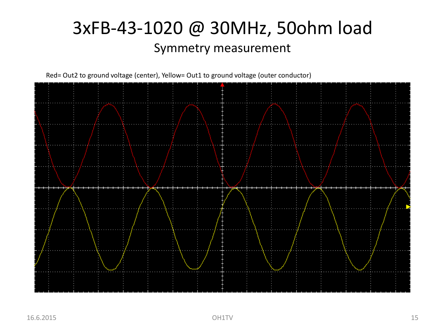#### 3xFB-43-1020 @ 30MHz, 50ohm load Symmetry measurement

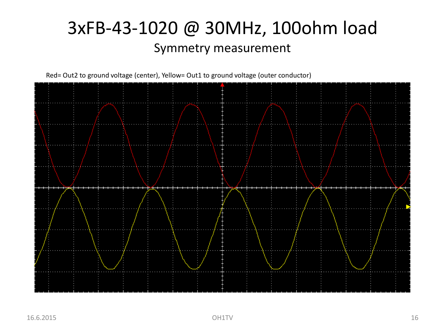#### 3xFB-43-1020 @ 30MHz, 100ohm load Symmetry measurement

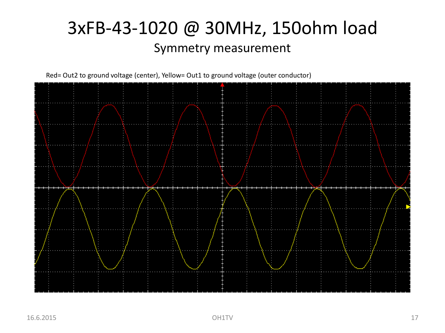#### 3xFB-43-1020 @ 30MHz, 150ohm load Symmetry measurement

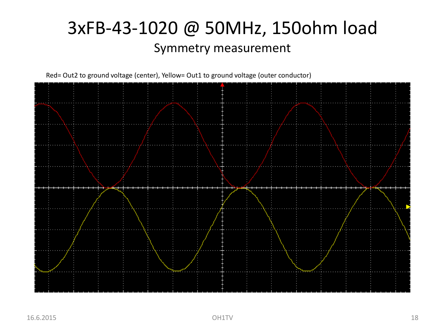#### 3xFB-43-1020 @ 50MHz, 150ohm load Symmetry measurement

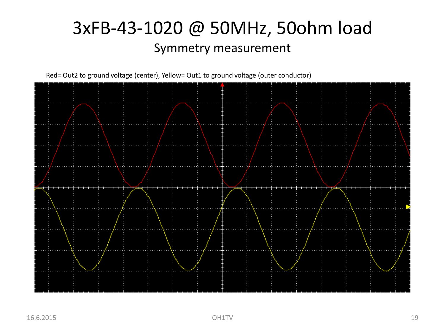#### 3xFB-43-1020 @ 50MHz, 50ohm load Symmetry measurement

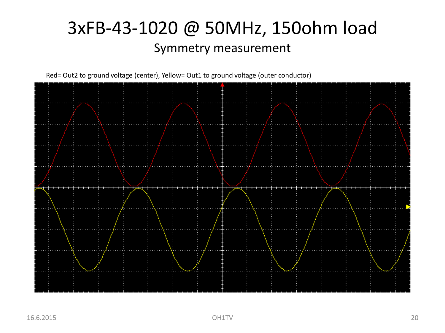#### 3xFB-43-1020 @ 50MHz, 150ohm load Symmetry measurement

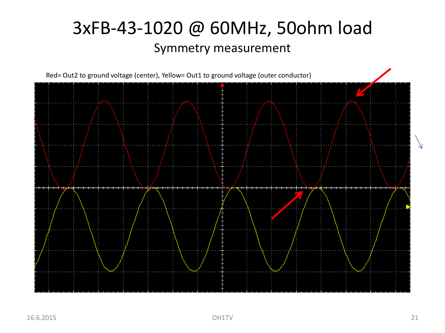#### 3xFB-43-1020 @ 60MHz, 50ohm load Symmetry measurement

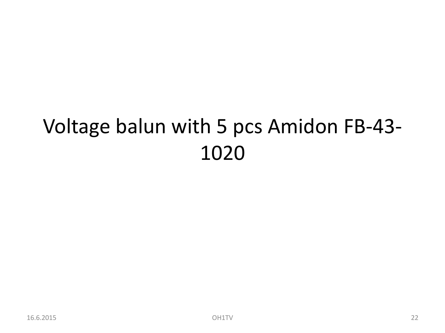# Voltage balun with 5 pcs Amidon FB-43-1020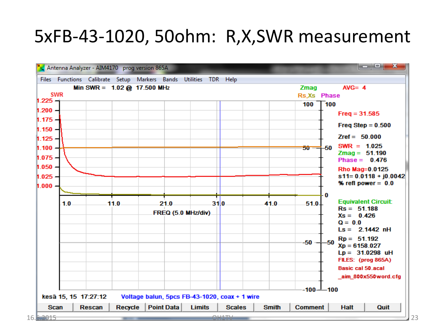### 5xFB-43-1020, 50ohm: R,X,SWR measurement

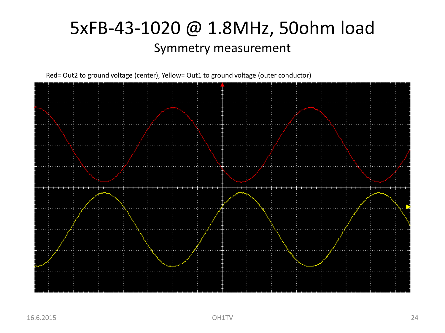#### 5xFB-43-1020 @ 1.8MHz, 50ohm load Symmetry measurement

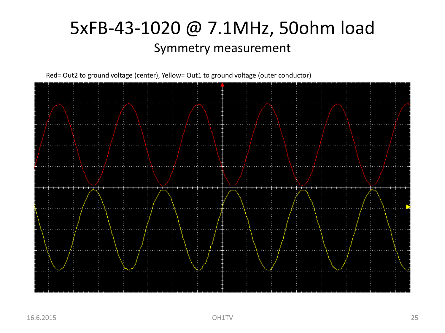#### 5xFB-43-1020 @ 7.1MHz, 50ohm load Symmetry measurement

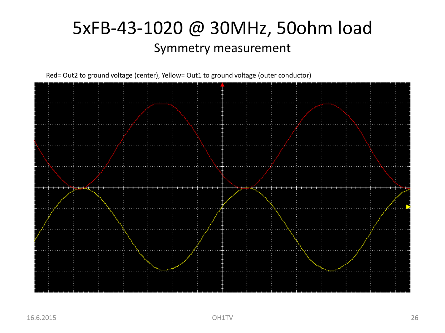#### 5xFB-43-1020 @ 30MHz, 50ohm load Symmetry measurement

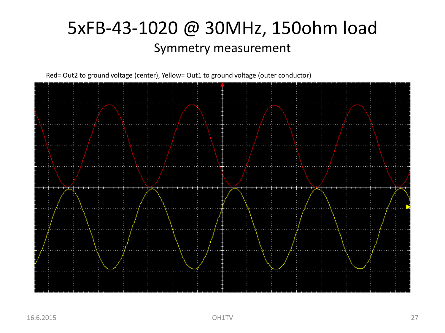#### 5xFB-43-1020 @ 30MHz, 150ohm load Symmetry measurement

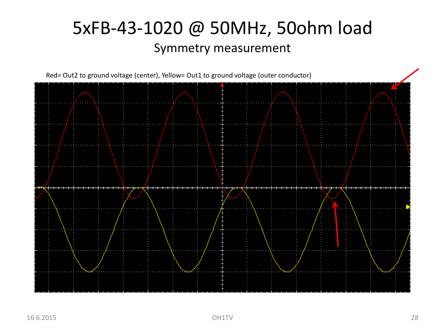#### 5xFB-43-1020 @ 50MHz, 50ohm load Symmetry measurement

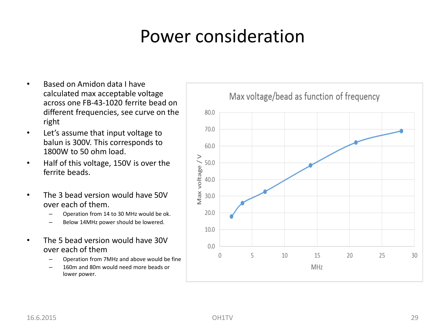# Power consideration

- Based on Amidon data I have calculated max acceptable voltage across one FB-43-1020 ferrite bead on different frequencies, see curve on the right
- Let's assume that input voltage to balun is 300V. This corresponds to 1800W to 50 ohm load.
- Half of this voltage, 150V is over the ferrite beads.
- The 3 bead version would have 50V over each of them.
	- Operation from 14 to 30 MHz would be ok.
	- Below 14MHz power should be lowered.
- The 5 bead version would have 30V over each of them
	- Operation from 7MHz and above would be fine
	- 160m and 80m would need more beads or lower power.

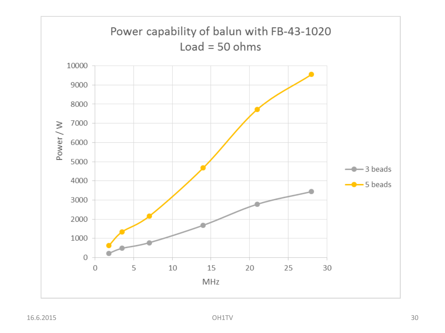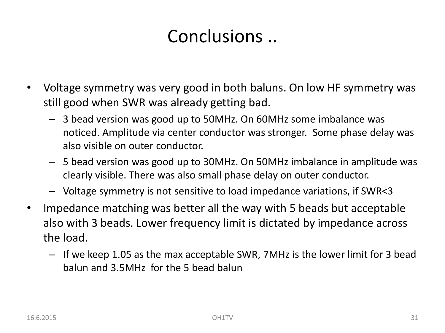# Conclusions ..

- Voltage symmetry was very good in both baluns. On low HF symmetry was still good when SWR was already getting bad.
	- 3 bead version was good up to 50MHz. On 60MHz some imbalance was noticed. Amplitude via center conductor was stronger. Some phase delay was also visible on outer conductor.
	- 5 bead version was good up to 30MHz. On 50MHz imbalance in amplitude was clearly visible. There was also small phase delay on outer conductor.
	- Voltage symmetry is not sensitive to load impedance variations, if SWR<3
- Impedance matching was better all the way with 5 beads but acceptable also with 3 beads. Lower frequency limit is dictated by impedance across the load.
	- If we keep 1.05 as the max acceptable SWR, 7MHz is the lower limit for 3 bead balun and 3.5MHz for the 5 bead balun